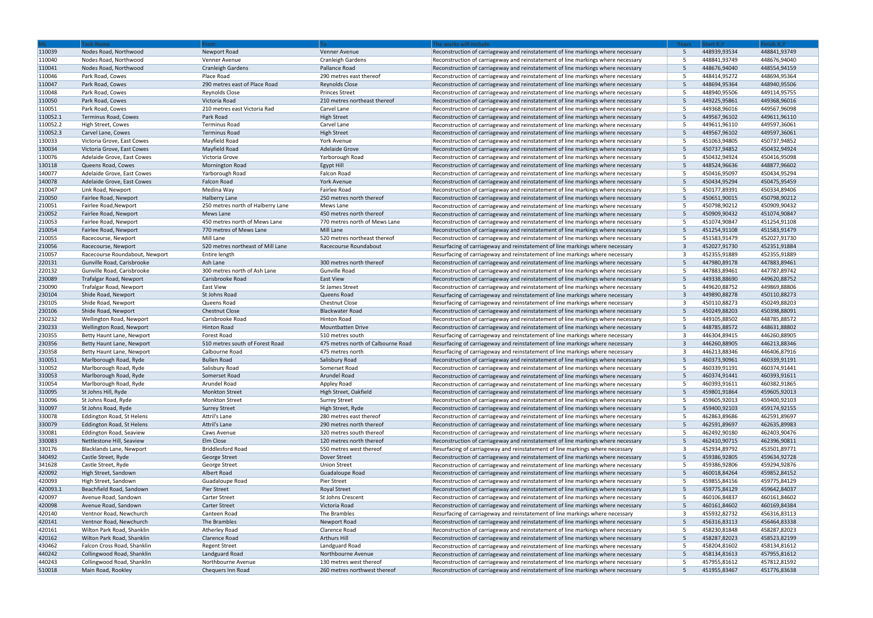|          | <b>Task Name</b>               | From                              | To:                                | The works will include                                                           | <b>Years</b> | Start X,Y    | inish X,Y    |
|----------|--------------------------------|-----------------------------------|------------------------------------|----------------------------------------------------------------------------------|--------------|--------------|--------------|
| 110039   | Nodes Road, Northwood          | Newport Road                      | Venner Avenue                      | Reconstruction of carriageway and reinstatement of line markings where necessary | -5           | 448939,93534 | 448841,93749 |
| 110040   | Nodes Road, Northwood          | Venner Avenue                     | <b>Cranleigh Gardens</b>           | Reconstruction of carriageway and reinstatement of line markings where necessary |              | 448841,93749 | 448676,94040 |
| 110041   | Nodes Road, Northwood          | <b>Cranleigh Gardens</b>          | Pallance Road                      | Reconstruction of carriageway and reinstatement of line markings where necessary | -5           | 448676,94040 | 448554,94159 |
| 110046   | Park Road, Cowes               | Place Road                        | 290 metres east thereof            | Reconstruction of carriageway and reinstatement of line markings where necessary |              | 448414,95272 | 448694,95364 |
| 110047   | Park Road, Cowes               | 290 metres east of Place Road     | <b>Reynolds Close</b>              | Reconstruction of carriageway and reinstatement of line markings where necessary |              | 448694,95364 | 448940,95506 |
| 110048   | Park Road, Cowes               | <b>Reynolds Close</b>             | <b>Princes Street</b>              | Reconstruction of carriageway and reinstatement of line markings where necessary |              | 448940,95506 | 449114,95755 |
| 110050   | Park Road, Cowes               | Victoria Road                     | 210 metres northeast thereof       | Reconstruction of carriageway and reinstatement of line markings where necessary |              | 449225,95861 | 449368,96016 |
| 110051   | Park Road, Cowes               | 210 metres east Victoria Rad      | Carvel Lane                        | Reconstruction of carriageway and reinstatement of line markings where necessary |              | 449368,96016 | 449567,96098 |
| 110052.1 | Terminus Road, Cowes           | Park Road                         | <b>High Street</b>                 | Reconstruction of carriageway and reinstatement of line markings where necessary |              | 449567,96102 | 449611,96110 |
| 110052.2 | High Street, Cowes             | Terminus Road                     | Carvel Lane                        | Reconstruction of carriageway and reinstatement of line markings where necessary |              | 449611,96110 | 449597,36061 |
| 110052.3 | Carvel Lane, Cowes             | <b>Terminus Road</b>              | <b>High Street</b>                 | Reconstruction of carriageway and reinstatement of line markings where necessary |              | 449567,96102 | 449597,36061 |
| 130033   | Victoria Grove, East Cowes     | Mayfield Road                     | York Avenue                        | Reconstruction of carriageway and reinstatement of line markings where necessary |              | 451063,94805 | 450737,94852 |
| 130034   | Victoria Grove, East Cowes     | Mayfield Road                     | <b>Adelaide Grove</b>              | Reconstruction of carriageway and reinstatement of line markings where necessary | -5           | 450737,94852 | 450432,94924 |
| 130076   | Adelaide Grove, East Cowes     | Victoria Grove                    | Yarborough Road                    | Reconstruction of carriageway and reinstatement of line markings where necessary |              | 450432,94924 | 450416,95098 |
| 130118   | Queens Road, Cowes             | Mornington Road                   | Egypt Hill                         | Reconstruction of carriageway and reinstatement of line markings where necessary |              | 448524,96636 | 448877,96602 |
| 140077   | Adelaide Grove, East Cowes     | Yarborough Road                   | Falcon Road                        | Reconstruction of carriageway and reinstatement of line markings where necessary |              | 450416,95097 | 450434,95294 |
| 140078   | Adelaide Grove, East Cowes     | Falcon Road                       | York Avenue                        | Reconstruction of carriageway and reinstatement of line markings where necessary | -5           | 450434,95294 | 450475,95459 |
| 210047   | Link Road, Newport             | Medina Way                        | Fairlee Road                       | Reconstruction of carriageway and reinstatement of line markings where necessary |              | 450177,89391 | 450334,89406 |
|          |                                |                                   |                                    | Reconstruction of carriageway and reinstatement of line markings where necessary |              | 450651,90015 | 450798,90212 |
| 210050   | Fairlee Road, Newport          | Halberry Lane                     | 250 metres north thereof           |                                                                                  |              |              |              |
| 210051   | Fairlee Road, Newport          | 250 metres north of Halberry Lane | Mews Lane                          | Reconstruction of carriageway and reinstatement of line markings where necessary |              | 450798,90212 | 450909,90432 |
| 210052   | Fairlee Road, Newport          | Mews Lane                         | 450 metres north thereof           | Reconstruction of carriageway and reinstatement of line markings where necessary |              | 450909,90432 | 451074,90847 |
| 210053   | Fairlee Road, Newport          | 450 metres north of Mews Lane     | 770 metres north of Mews Lane      | Reconstruction of carriageway and reinstatement of line markings where necessary |              | 451074,90847 | 451254,91108 |
| 210054   | Fairlee Road, Newport          | 770 metres of Mews Lane           | Mill Lane                          | Reconstruction of carriageway and reinstatement of line markings where necessary |              | 451254,91108 | 451583,91479 |
| 210055   | Racecourse, Newport            | Mill Lane                         | 520 metres northeast thereof       | Reconstruction of carriageway and reinstatement of line markings where necessary |              | 451583,91479 | 452027,91730 |
| 210056   | Racecourse, Newport            | 520 metres northeast of Mill Lane | Racecourse Roundabout              | Resurfacing of carriageway and reinstatement of line markings where necessary    | $\mathbf{3}$ | 452027,91730 | 452351,91884 |
| 210057   | Racecourse Roundabout, Newport | Entire length                     |                                    | Resurfacing of carriageway and reinstatement of line markings where necessary    |              | 452355,91889 | 452355,91889 |
| 220131   | Gunville Road, Carisbrooke     | Ash Lane                          | 300 metres north thereof           | Reconstruction of carriageway and reinstatement of line markings where necessary | -5           | 447980,89178 | 447883,89461 |
| 220132   | Gunville Road, Carisbrooke     | 300 metres north of Ash Lane      | Gunville Road                      | Reconstruction of carriageway and reinstatement of line markings where necessary |              | 447883,89461 | 447787,89742 |
| 230089   | Trafalgar Road, Newport        | Carisbrooke Road                  | East View                          | Reconstruction of carriageway and reinstatement of line markings where necessary |              | 449338,88690 | 449620,88752 |
| 230090   | Trafalgar Road, Newport        | <b>East View</b>                  | St James Street                    | Reconstruction of carriageway and reinstatement of line markings where necessary |              | 449620,88752 | 449869,88806 |
| 230104   | Shide Road, Newport            | St Johns Road                     | Queens Road                        | Resurfacing of carriageway and reinstatement of line markings where necessary    | $\mathbf{R}$ | 449890,88278 | 450110,88273 |
| 230105   | Shide Road, Newport            | Queens Road                       | <b>Chestnut Close</b>              | Resurfacing of carriageway and reinstatement of line markings where necessary    |              | 450110,88273 | 450249,88203 |
| 230106   | Shide Road, Newport            | <b>Chestnut Close</b>             | <b>Blackwater Road</b>             | Reconstruction of carriageway and reinstatement of line markings where necessary |              | 450249,88203 | 450398,88091 |
| 230232   | Wellington Road, Newport       | Carisbrooke Road                  | Hinton Road                        | Reconstruction of carriageway and reinstatement of line markings where necessary |              | 449105,88502 | 448785,88572 |
| 230233   | Wellington Road, Newport       | Hinton Road                       | <b>Mountbatten Drive</b>           | Reconstruction of carriageway and reinstatement of line markings where necessary | -5           | 448785,88572 | 448631,88802 |
| 230355   | Betty Haunt Lane, Newport      | <b>Forest Road</b>                | 510 metres south                   | Resurfacing of carriageway and reinstatement of line markings where necessary    |              | 446304,89415 | 446260,88905 |
| 230356   | Betty Haunt Lane, Newport      | 510 metres south of Forest Road   | 475 metres north of Calbourne Road | Resurfacing of carriageway and reinstatement of line markings where necessary    | $\mathbf{3}$ | 446260,88905 | 446213,88346 |
| 230358   | Betty Haunt Lane, Newport      | Calbourne Road                    | 475 metres north                   | Resurfacing of carriageway and reinstatement of line markings where necessary    |              | 446213,88346 | 446406,87916 |
| 310051   | Marlborough Road, Ryde         | <b>Bullen Road</b>                | Salisbury Road                     | Reconstruction of carriageway and reinstatement of line markings where necessary |              | 460373,90961 | 460339,91191 |
| 310052   | Marlborough Road, Ryde         | Salisbury Road                    | Somerset Road                      | Reconstruction of carriageway and reinstatement of line markings where necessary |              | 460339,91191 | 460374,91441 |
| 310053   | Marlborough Road, Ryde         | Somerset Road                     | Arundel Road                       | Reconstruction of carriageway and reinstatement of line markings where necessary | -5           | 460374,91441 | 460393,91611 |
| 310054   | Marlborough Road, Ryde         | Arundel Road                      | Appley Road                        | Reconstruction of carriageway and reinstatement of line markings where necessary |              | 460393,91611 | 460382,91865 |
| 310095   | St Johns Hill, Ryde            | <b>Monkton Street</b>             | High Street, Oakfield              | Reconstruction of carriageway and reinstatement of line markings where necessary |              | 459801,91864 | 459605,92013 |
| 310096   | St Johns Road, Ryde            | <b>Monkton Street</b>             | <b>Surrey Street</b>               | Reconstruction of carriageway and reinstatement of line markings where necessary |              | 459605,92013 | 459400,92103 |
| 310097   | St Johns Road, Ryde            | <b>Surrey Street</b>              | High Street, Ryde                  | Reconstruction of carriageway and reinstatement of line markings where necessary | -5           | 459400,92103 | 459174,92155 |
| 330078   | Eddington Road, St Helens      | Attril's Lane                     | 280 metres east thereof            | Reconstruction of carriageway and reinstatement of line markings where necessary | -5           | 462863,89686 | 462591,89697 |
| 330079   | Eddington Road, St Helens      | Attril's Lane                     | 290 metres north thereof           | Reconstruction of carriageway and reinstatement of line markings where necessary | -5           | 462591,89697 | 462635,89983 |
| 330081   | <b>Eddington Road, Seaview</b> | Caws Avenue                       | 320 metres south thereof           | Reconstruction of carriageway and reinstatement of line markings where necessary |              | 462492,90180 | 462403,90476 |
| 330083   | Nettlestone Hill, Seaview      | Elm Close                         | 120 metres north thereof           | Reconstruction of carriageway and reinstatement of line markings where necessary | -5           | 462410,90715 | 462396,90811 |
| 330176   | Blacklands Lane, Newport       | Briddlesford Road                 | 550 metres west thereof            | Resurfacing of carriageway and reinstatement of line markings where necessary    |              | 452934,89792 | 453501,89771 |
| 340492   | Castle Street, Ryde            | George Street                     | Dover Street                       | Reconstruction of carriageway and reinstatement of line markings where necessary | -5           | 459386,92805 | 459634,92728 |
| 341628   | Castle Street, Ryde            | George Street                     | <b>Union Street</b>                | Reconstruction of carriageway and reinstatement of line markings where necessary |              | 459386,92806 | 459294,92876 |
|          |                                |                                   |                                    |                                                                                  | -5           |              |              |
| 420092   | High Street, Sandown           | Albert Road                       | Guadaloupe Road                    | Reconstruction of carriageway and reinstatement of line markings where necessary |              | 460018,84264 | 459852,84152 |
| 420093   | High Street, Sandown           | Guadaloupe Road                   | Pier Street                        | Reconstruction of carriageway and reinstatement of line markings where necessary |              | 459855,84156 | 459775,84129 |
| 420093.1 | Beachfield Road, Sandown       | <b>Pier Street</b>                | <b>Royal Street</b>                | Reconstruction of carriageway and reinstatement of line markings where necessary | -5           | 459775,84129 | 459642,84037 |
| 420097   | Avenue Road, Sandown           | <b>Carter Street</b>              | St Johns Crescent                  | Reconstruction of carriageway and reinstatement of line markings where necessary |              | 460106,84837 | 460161,84602 |
| 420098   | Avenue Road, Sandown           | <b>Carter Street</b>              | Victoria Road                      | Reconstruction of carriageway and reinstatement of line markings where necessary | -5           | 460161,84602 | 460169,84384 |
| 420140   | Ventnor Road, Newchurch        | Canteen Road                      | The Brambles                       | Resurfacing of carriageway and reinstatement of line markings where necessary    |              | 455932,82732 | 456316,83113 |
| 420141   | Ventnor Road, Newchurch        | The Brambles                      | Newport Road                       | Reconstruction of carriageway and reinstatement of line markings where necessary | -5           | 456316,83113 | 456464,83338 |
| 420161   | Wilton Park Road, Shanklin     | Atherley Road                     | Clarence Road                      | Reconstruction of carriageway and reinstatement of line markings where necessary | -5           | 458230,81848 | 458287,82023 |
| 420162   | Wilton Park Road, Shanklin     | Clarence Road                     | <b>Arthurs Hill</b>                | Reconstruction of carriageway and reinstatement of line markings where necessary | -5           | 458287,82023 | 458523,82199 |
| 430462   | Falcon Cross Road, Shanklin    | <b>Regent Street</b>              | Landguard Road                     | Reconstruction of carriageway and reinstatement of line markings where necessary |              | 458204,81602 | 458134,81612 |
| 440242   | Collingwood Road, Shanklin     | Landguard Road                    | Northbourne Avenue                 | Reconstruction of carriageway and reinstatement of line markings where necessary | -5           | 458134,81613 | 457955,81612 |
| 440243   | Collingwood Road, Shanklin     | Northbourne Avenue                | 130 metres west thereof            | Reconstruction of carriageway and reinstatement of line markings where necessary |              | 457955,81612 | 457812,81592 |
| 510018   | Main Road, Rookley             | Chequers Inn Road                 | 260 metres northwest thereof       | Reconstruction of carriageway and reinstatement of line markings where necessary | -5           | 451955,83467 | 451776,83638 |

| Years  | <b>Start X, Y</b> | Finish X, Y  |
|--------|-------------------|--------------|
| 5      | 448939,93534      | 448841,93749 |
| 5      | 448841,93749      | 448676,94040 |
| 5      | 448676,94040      | 448554,94159 |
| 5      | 448414,95272      | 448694,95364 |
| 5      | 448694,95364      | 448940,95506 |
| 5      | 448940,95506      | 449114,95755 |
| 5      | 449225,95861      | 449368,96016 |
| 5      | 449368,96016      | 449567,96098 |
| 5      | 449567,96102      | 449611,96110 |
| 5      | 449611,96110      | 449597,36061 |
| 5      | 449567,96102      | 449597,36061 |
| 5      | 451063,94805      | 450737,94852 |
| 5      | 450737,94852      | 450432,94924 |
| 5      | 450432,94924      | 450416,95098 |
| 5      | 448524,96636      | 448877,96602 |
| 5      | 450416,95097      | 450434,95294 |
| 5      | 450434,95294      | 450475,95459 |
| 5      | 450177,89391      | 450334,89406 |
| 5      | 450651,90015      | 450798,90212 |
| 5      | 450798,90212      | 450909,90432 |
| 5      | 450909,90432      | 451074,90847 |
| 5      | 451074,90847      | 451254,91108 |
| 5      | 451254,91108      | 451583,91479 |
| 5      | 451583,91479      | 452027,91730 |
| 3      | 452027,91730      | 452351,91884 |
| 3      | 452355,91889      | 452355,91889 |
| 5      | 447980,89178      | 447883,89461 |
| 5      | 447883,89461      | 447787,89742 |
| 5      | 449338,88690      | 449620,88752 |
| 5      | 449620,88752      | 449869,88806 |
| 3      | 449890,88278      | 450110,88273 |
| 3      | 450110,88273      | 450249,88203 |
| 5      | 450249,88203      | 450398,88091 |
| 5      | 449105,88502      | 448785,88572 |
| 5      | 448785,88572      | 448631,88802 |
| 3      | 446304,89415      | 446260,88905 |
| 3      | 446260,88905      | 446213,88346 |
| 3      | 446213,88346      | 446406,87916 |
| 5      | 460373,90961      | 460339,91191 |
| 5      | 460339,91191      | 460374,91441 |
| 5      | 460374,91441      | 460393,91611 |
| 5      | 460393,91611      | 460382,91865 |
| 5      | 459801,91864      | 459605,92013 |
| 5      | 459605,92013      | 459400,92103 |
| 5      | 459400,92103      | 459174,92155 |
| 5      | 462863,89686      | 462591,89697 |
| 5      | 462591,89697      | 462635,89983 |
| 5      | 462492,90180      | 462403,90476 |
| 5      | 462410,90715      | 462396,90811 |
| 3      | 452934,89792      | 453501,89771 |
| 5      | 459386,92805      | 459634,92728 |
| 5      | 459386,92806      | 459294,92876 |
| 5      | 460018,84264      | 459852,84152 |
| 5      | 459855,84156      | 459775,84129 |
| 5      | 459775,84129      | 459642,84037 |
| 5      | 460106,84837      | 460161,84602 |
| 5      | 460161,84602      | 460169,84384 |
| 3      | 455932,82732      | 456316,83113 |
| 5      | 456316,83113      | 456464,83338 |
| 5      | 458230,81848      | 458287,82023 |
| 5      | 458287,82023      | 458523,82199 |
| 5<br>5 | 458204,81602      | 458134,81612 |
|        | 458134,81613      | 457955,81612 |
| 5      | 457955,81612      | 457812,81592 |
| 5      | 451955,83467      | 451776,83638 |